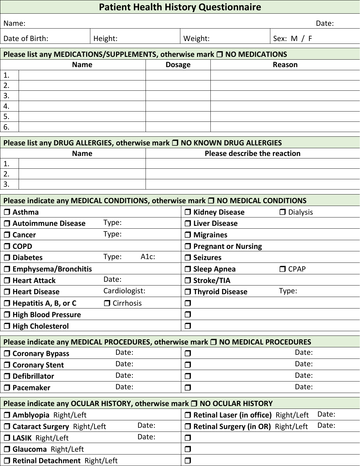## **Patient Health History Questionnaire**

| Name:                                                                         |                                                                               |         |               |         |  | Date:        |  |
|-------------------------------------------------------------------------------|-------------------------------------------------------------------------------|---------|---------------|---------|--|--------------|--|
| Date of Birth:                                                                |                                                                               | Height: |               | Weight: |  | Sex: $M / F$ |  |
|                                                                               | Please list any MEDICATIONS/SUPPLEMENTS, otherwise mark $\Box$ NO MEDICATIONS |         |               |         |  |              |  |
| <b>Name</b>                                                                   |                                                                               |         | <b>Dosage</b> |         |  | Reason       |  |
| 1.                                                                            |                                                                               |         |               |         |  |              |  |
| 2.                                                                            |                                                                               |         |               |         |  |              |  |
| 3.                                                                            |                                                                               |         |               |         |  |              |  |
| 4.                                                                            |                                                                               |         |               |         |  |              |  |
| 5.                                                                            |                                                                               |         |               |         |  |              |  |
| 6.                                                                            |                                                                               |         |               |         |  |              |  |
| Please list any DRUG ALLERGIES, otherwise mark $\Box$ NO KNOWN DRUG ALLERGIES |                                                                               |         |               |         |  |              |  |
| <b>Please describe the reaction</b><br><b>Name</b>                            |                                                                               |         |               |         |  |              |  |
| $\mathbf 1$                                                                   |                                                                               |         |               |         |  |              |  |

| --         |  |
|------------|--|
|            |  |
| <u>. .</u> |  |
|            |  |

| Please indicate any MEDICAL CONDITIONS, otherwise mark □ NO MEDICAL CONDITIONS |                  |                                              |                 |  |  |
|--------------------------------------------------------------------------------|------------------|----------------------------------------------|-----------------|--|--|
| $\Box$ Asthma                                                                  |                  | $\Box$ Kidney Disease                        | $\Box$ Dialysis |  |  |
| □ Autoimmune Disease                                                           | Type:            | $\Box$ Liver Disease                         |                 |  |  |
| $\Box$ Cancer                                                                  | Type:            | $\Box$ Migraines                             |                 |  |  |
| $\Box$ COPD                                                                    |                  | $\Box$ Pregnant or Nursing                   |                 |  |  |
| $\Box$ Diabetes                                                                | A1c:<br>Type:    | $\Box$ Seizures                              |                 |  |  |
| $\square$ Emphysema/Bronchitis                                                 |                  | $\Box$ Sleep Apnea                           | $\Box$ CPAP     |  |  |
| $\Box$ Heart Attack                                                            | Date:            | □ Stroke/TIA                                 |                 |  |  |
| $\Box$ Heart Disease                                                           | Cardiologist:    | $\Box$ Thyroid Disease                       | Type:           |  |  |
| $\Box$ Hepatitis A, B, or C                                                    | $\Box$ Cirrhosis | $\Box$                                       |                 |  |  |
| □ High Blood Pressure                                                          |                  | $\Box$                                       |                 |  |  |
| □ High Cholesterol                                                             |                  | $\Box$                                       |                 |  |  |
| Please indicate any MEDICAL PROCEDURES, otherwise mark □ NO MEDICAL PROCEDURES |                  |                                              |                 |  |  |
| $\Box$ Coronary Bypass                                                         | Date:            | $\Box$                                       | Date:           |  |  |
| □ Coronary Stent                                                               | Date:            | $\Box$                                       | Date:           |  |  |
| $\square$ Defibrillator                                                        | Date:            | $\Box$                                       | Date:           |  |  |
| $\square$ Pacemaker                                                            | Date:            | $\Box$                                       | Date:           |  |  |
| Please indicate any OCULAR HISTORY, otherwise mark □ NO OCULAR HISTORY         |                  |                                              |                 |  |  |
| <b>Amblyopia Right/Left</b>                                                    |                  | $\Box$ Retinal Laser (in office) Right/Left  | Date:           |  |  |
| <b>O Cataract Surgery Right/Left</b>                                           | Date:            | $\square$ Retinal Surgery (in OR) Right/Left | Date:           |  |  |
| <b>J LASIK Right/Left</b>                                                      | Date:            | $\Box$                                       |                 |  |  |
| <b>O Glaucoma Right/Left</b>                                                   |                  | $\Box$                                       |                 |  |  |
| □ Retinal Detachment Right/Left                                                |                  | $\Box$                                       |                 |  |  |